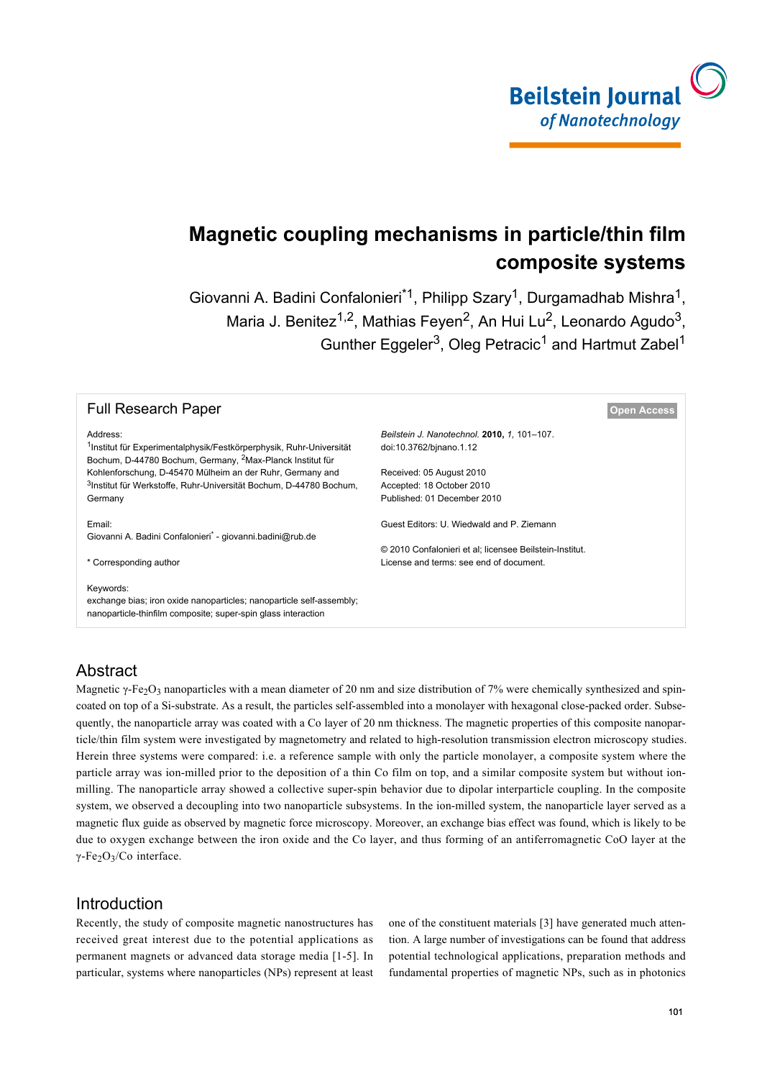

# **Magnetic coupling mechanisms in particle/thin film composite systems**

Giovanni A. Badini Confalonieri<sup>\*1</sup>, Philipp Szary<sup>1</sup>, Durgamadhab Mishra<sup>1</sup>, Maria J. Benitez<sup>1,2</sup>, Mathias Feyen<sup>2</sup>, An Hui Lu<sup>2</sup>, Leonardo Agudo<sup>3</sup>, Gunther Eggeler<sup>3</sup>, Oleg Petracic<sup>1</sup> and Hartmut Zabel<sup>1</sup>

### **Full Research Paper Open Access**

#### Address:

1 Institut für Experimentalphysik/Festkörperphysik, Ruhr-Universität Bochum, D-44780 Bochum, Germany, 2Max-Planck Institut für Kohlenforschung, D-45470 Mülheim an der Ruhr, Germany and 3 Institut für Werkstoffe, Ruhr-Universität Bochum, D-44780 Bochum, Germany

Email:

Giovanni A. Badini Confalonieri\* - giovanni.badini@rub.de

\* Corresponding author

Keywords:

exchange bias; iron oxide nanoparticles; nanoparticle self-assembly; nanoparticle-thinfilm composite; super-spin glass interaction

*Beilstein J. Nanotechnol.* **2010,** *1,* 101–107. doi:10.3762/bjnano.1.12

Received: 05 August 2010 Accepted: 18 October 2010 Published: 01 December 2010

Guest Editors: U. Wiedwald and P. Ziemann

© 2010 Confalonieri et al; licensee Beilstein-Institut. License and terms: see end of document.

## Abstract

Magnetic  $\gamma$ -Fe<sub>2</sub>O<sub>3</sub> nanoparticles with a mean diameter of 20 nm and size distribution of 7% were chemically synthesized and spincoated on top of a Si-substrate. As a result, the particles self-assembled into a monolayer with hexagonal close-packed order. Subsequently, the nanoparticle array was coated with a Co layer of 20 nm thickness. The magnetic properties of this composite nanoparticle/thin film system were investigated by magnetometry and related to high-resolution transmission electron microscopy studies. Herein three systems were compared: i.e. a reference sample with only the particle monolayer, a composite system where the particle array was ion-milled prior to the deposition of a thin Co film on top, and a similar composite system but without ionmilling. The nanoparticle array showed a collective super-spin behavior due to dipolar interparticle coupling. In the composite system, we observed a decoupling into two nanoparticle subsystems. In the ion-milled system, the nanoparticle layer served as a magnetic flux guide as observed by magnetic force microscopy. Moreover, an exchange bias effect was found, which is likely to be due to oxygen exchange between the iron oxide and the Co layer, and thus forming of an antiferromagnetic CoO layer at the γ-Fe<sub>2</sub>O<sub>3</sub>/Co interface.

## Introduction

Recently, the study of composite magnetic nanostructures has received great interest due to the potential applications as permanent magnets or advanced data storage media [1-5]. In particular, systems where nanoparticles (NPs) represent at least

one of the constituent materials [3] have generated much attention. A large number of investigations can be found that address potential technological applications, preparation methods and fundamental properties of magnetic NPs, such as in photonics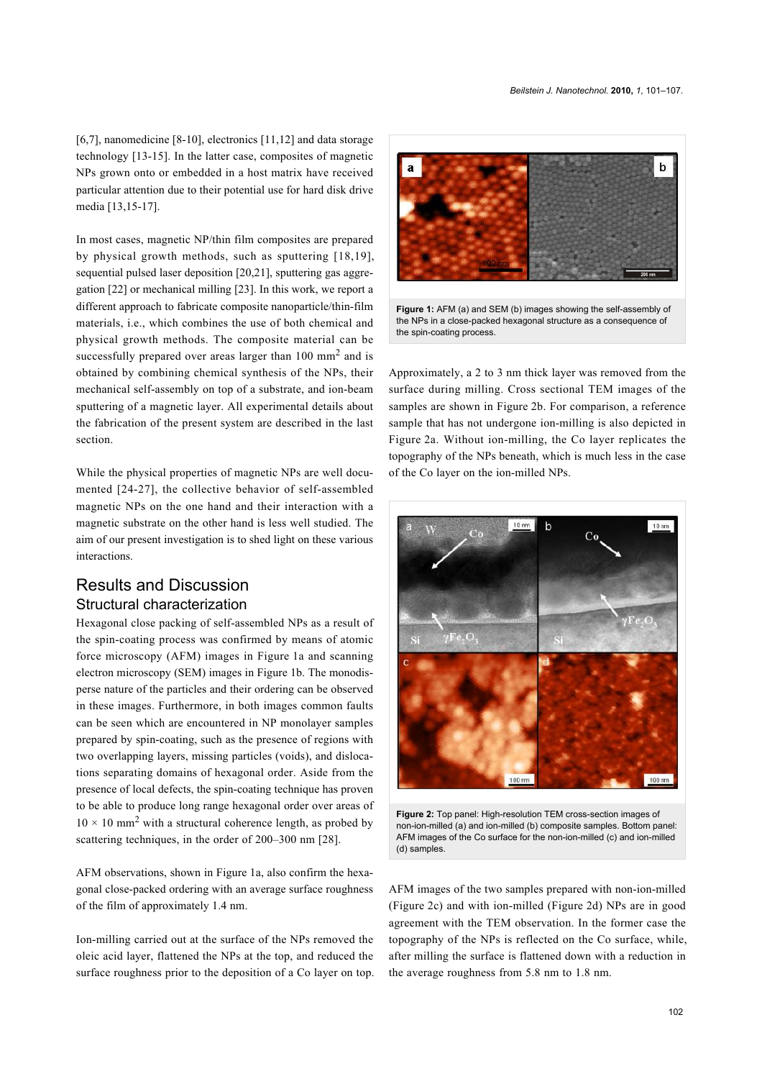[6,7], nanomedicine [8-10], electronics [11,12] and data storage technology [13-15]. In the latter case, composites of magnetic NPs grown onto or embedded in a host matrix have received particular attention due to their potential use for hard disk drive media [13,15-17].

In most cases, magnetic NP/thin film composites are prepared by physical growth methods, such as sputtering [18,19], sequential pulsed laser deposition [20,21], sputtering gas aggregation [22] or mechanical milling [23]. In this work, we report a different approach to fabricate composite nanoparticle/thin-film materials, i.e., which combines the use of both chemical and physical growth methods. The composite material can be successfully prepared over areas larger than  $100 \text{ mm}^2$  and is obtained by combining chemical synthesis of the NPs, their mechanical self-assembly on top of a substrate, and ion-beam sputtering of a magnetic layer. All experimental details about the fabrication of the present system are described in the last section.

While the physical properties of magnetic NPs are well documented [24-27], the collective behavior of self-assembled magnetic NPs on the one hand and their interaction with a magnetic substrate on the other hand is less well studied. The aim of our present investigation is to shed light on these various interactions.

## Results and Discussion Structural characterization

Hexagonal close packing of self-assembled NPs as a result of the spin-coating process was confirmed by means of atomic force microscopy (AFM) images in Figure 1a and scanning electron microscopy (SEM) images in Figure 1b. The monodisperse nature of the particles and their ordering can be observed in these images. Furthermore, in both images common faults can be seen which are encountered in NP monolayer samples prepared by spin-coating, such as the presence of regions with two overlapping layers, missing particles (voids), and dislocations separating domains of hexagonal order. Aside from the presence of local defects, the spin-coating technique has proven to be able to produce long range hexagonal order over areas of  $10 \times 10$  mm<sup>2</sup> with a structural coherence length, as probed by scattering techniques, in the order of 200–300 nm [28].

AFM observations, shown in Figure 1a, also confirm the hexagonal close-packed ordering with an average surface roughness of the film of approximately 1.4 nm.

Ion-milling carried out at the surface of the NPs removed the oleic acid layer, flattened the NPs at the top, and reduced the surface roughness prior to the deposition of a Co layer on top.



**Figure 1:** AFM (a) and SEM (b) images showing the self-assembly of the NPs in a close-packed hexagonal structure as a consequence of the spin-coating process.

Approximately, a 2 to 3 nm thick layer was removed from the surface during milling. Cross sectional TEM images of the samples are shown in Figure 2b. For comparison, a reference sample that has not undergone ion-milling is also depicted in Figure 2a. Without ion-milling, the Co layer replicates the topography of the NPs beneath, which is much less in the case of the Co layer on the ion-milled NPs.



**Figure 2:** Top panel: High-resolution TEM cross-section images of non-ion-milled (a) and ion-milled (b) composite samples. Bottom panel: AFM images of the Co surface for the non-ion-milled (c) and ion-milled (d) samples.

AFM images of the two samples prepared with non-ion-milled (Figure 2c) and with ion-milled (Figure 2d) NPs are in good agreement with the TEM observation. In the former case the topography of the NPs is reflected on the Co surface, while, after milling the surface is flattened down with a reduction in the average roughness from 5.8 nm to 1.8 nm.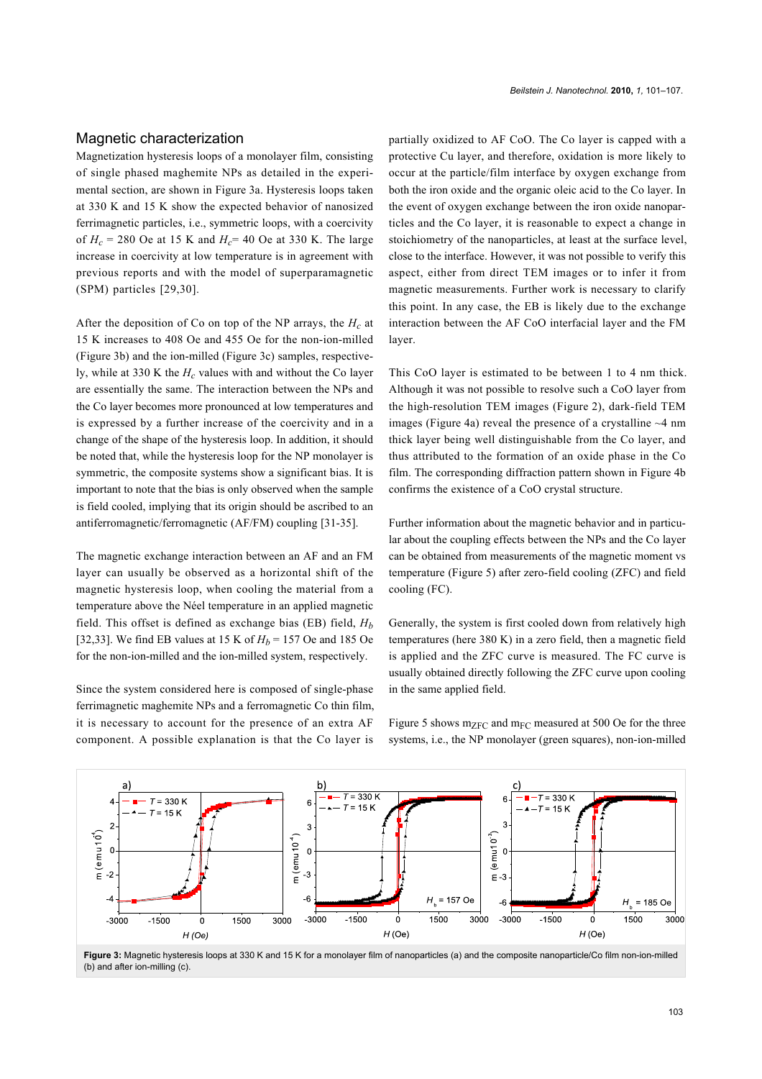#### Magnetic characterization

Magnetization hysteresis loops of a monolayer film, consisting of single phased maghemite NPs as detailed in the experimental section, are shown in Figure 3a. Hysteresis loops taken at 330 K and 15 K show the expected behavior of nanosized ferrimagnetic particles, i.e., symmetric loops, with a coercivity of *H<sup>c</sup>* = 280 Oe at 15 K and *Hc*= 40 Oe at 330 K. The large increase in coercivity at low temperature is in agreement with previous reports and with the model of superparamagnetic (SPM) particles [29,30].

After the deposition of Co on top of the NP arrays, the *H<sup>c</sup>* at 15 K increases to 408 Oe and 455 Oe for the non-ion-milled (Figure 3b) and the ion-milled (Figure 3c) samples, respectively, while at 330 K the  $H_c$  values with and without the Co layer are essentially the same. The interaction between the NPs and the Co layer becomes more pronounced at low temperatures and is expressed by a further increase of the coercivity and in a change of the shape of the hysteresis loop. In addition, it should be noted that, while the hysteresis loop for the NP monolayer is symmetric, the composite systems show a significant bias. It is important to note that the bias is only observed when the sample is field cooled, implying that its origin should be ascribed to an antiferromagnetic/ferromagnetic (AF/FM) coupling [31-35].

The magnetic exchange interaction between an AF and an FM layer can usually be observed as a horizontal shift of the magnetic hysteresis loop, when cooling the material from a temperature above the Néel temperature in an applied magnetic field. This offset is defined as exchange bias (EB) field, *H<sup>b</sup>* [32,33]. We find EB values at 15 K of  $H_b$  = 157 Oe and 185 Oe for the non-ion-milled and the ion-milled system, respectively.

Since the system considered here is composed of single-phase ferrimagnetic maghemite NPs and a ferromagnetic Co thin film, it is necessary to account for the presence of an extra AF component. A possible explanation is that the Co layer is

partially oxidized to AF CoO. The Co layer is capped with a protective Cu layer, and therefore, oxidation is more likely to occur at the particle/film interface by oxygen exchange from both the iron oxide and the organic oleic acid to the Co layer. In the event of oxygen exchange between the iron oxide nanoparticles and the Co layer, it is reasonable to expect a change in stoichiometry of the nanoparticles, at least at the surface level, close to the interface. However, it was not possible to verify this aspect, either from direct TEM images or to infer it from magnetic measurements. Further work is necessary to clarify this point. In any case, the EB is likely due to the exchange interaction between the AF CoO interfacial layer and the FM layer.

This CoO layer is estimated to be between 1 to 4 nm thick. Although it was not possible to resolve such a CoO layer from the high-resolution TEM images (Figure 2), dark-field TEM images (Figure 4a) reveal the presence of a crystalline  $\sim$ 4 nm thick layer being well distinguishable from the Co layer, and thus attributed to the formation of an oxide phase in the Co film. The corresponding diffraction pattern shown in Figure 4b confirms the existence of a CoO crystal structure.

Further information about the magnetic behavior and in particular about the coupling effects between the NPs and the Co layer can be obtained from measurements of the magnetic moment vs temperature (Figure 5) after zero-field cooling (ZFC) and field cooling (FC).

Generally, the system is first cooled down from relatively high temperatures (here 380 K) in a zero field, then a magnetic field is applied and the ZFC curve is measured. The FC curve is usually obtained directly following the ZFC curve upon cooling in the same applied field.



Figure 5 shows  $m_{ZFC}$  and  $m_{FC}$  measured at 500 Oe for the three systems, i.e., the NP monolayer (green squares), non-ion-milled

**Figure 3:** Magnetic hysteresis loops at 330 K and 15 K for a monolayer film of nanoparticles (a) and the composite nanoparticle/Co film non-ion-milled (b) and after ion-milling (c).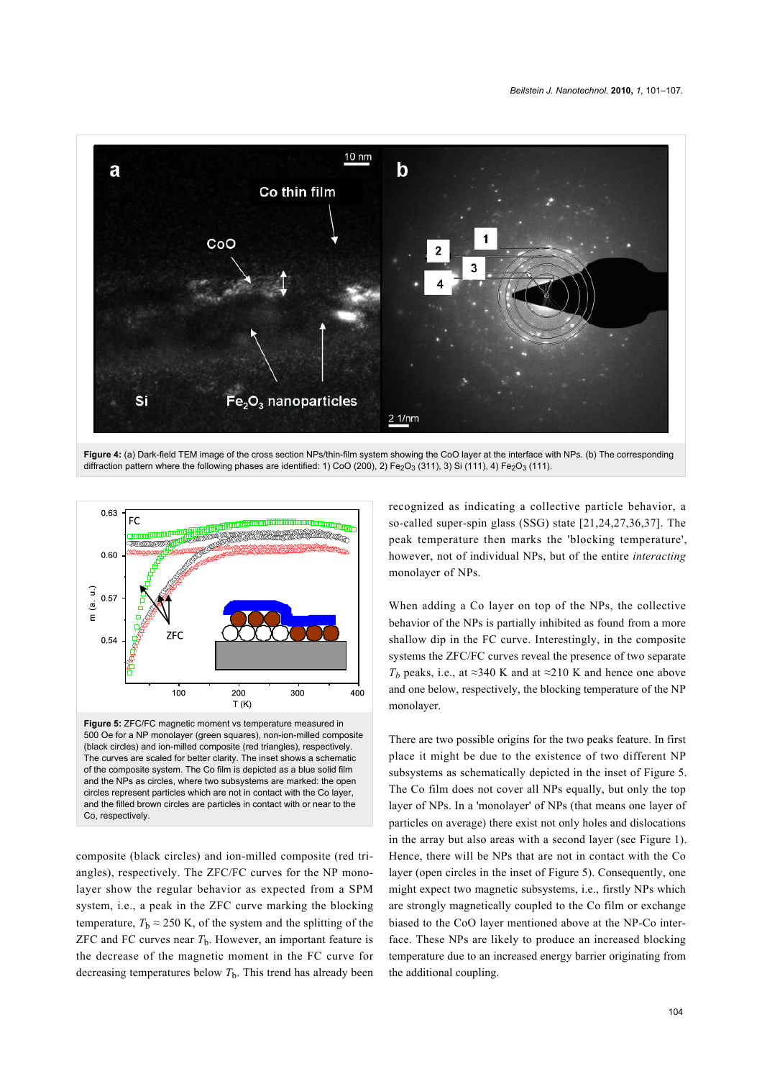

Figure 4: (a) Dark-field TEM image of the cross section NPs/thin-film system showing the CoO layer at the interface with NPs. (b) The corresponding diffraction pattern where the following phases are identified: 1) CoO (200), 2) Fe<sub>2</sub>O<sub>3</sub> (311), 3) Si (111), 4) Fe<sub>2</sub>O<sub>3</sub> (111).



500 Oe for a NP monolayer (green squares), non-ion-milled composite (black circles) and ion-milled composite (red triangles), respectively. The curves are scaled for better clarity. The inset shows a schematic of the composite system. The Co film is depicted as a blue solid film and the NPs as circles, where two subsystems are marked: the open circles represent particles which are not in contact with the Co layer, and the filled brown circles are particles in contact with or near to the Co, respectively.

composite (black circles) and ion-milled composite (red triangles), respectively. The ZFC/FC curves for the NP monolayer show the regular behavior as expected from a SPM system, i.e., a peak in the ZFC curve marking the blocking temperature,  $T_b \approx 250$  K, of the system and the splitting of the  $ZFC$  and  $FC$  curves near  $T<sub>b</sub>$ . However, an important feature is the decrease of the magnetic moment in the FC curve for decreasing temperatures below  $T<sub>b</sub>$ . This trend has already been

recognized as indicating a collective particle behavior, a so-called super-spin glass (SSG) state [21,24,27,36,37]. The peak temperature then marks the 'blocking temperature', however, not of individual NPs, but of the entire *interacting* monolayer of NPs.

When adding a Co layer on top of the NPs, the collective behavior of the NPs is partially inhibited as found from a more shallow dip in the FC curve. Interestingly, in the composite systems the ZFC/FC curves reveal the presence of two separate  $T_b$  peaks, i.e., at ≈340 K and at ≈210 K and hence one above and one below, respectively, the blocking temperature of the NP monolayer.

There are two possible origins for the two peaks feature. In first place it might be due to the existence of two different NP subsystems as schematically depicted in the inset of Figure 5. The Co film does not cover all NPs equally, but only the top layer of NPs. In a 'monolayer' of NPs (that means one layer of particles on average) there exist not only holes and dislocations in the array but also areas with a second layer (see Figure 1). Hence, there will be NPs that are not in contact with the Co layer (open circles in the inset of Figure 5). Consequently, one might expect two magnetic subsystems, i.e., firstly NPs which are strongly magnetically coupled to the Co film or exchange biased to the CoO layer mentioned above at the NP-Co interface. These NPs are likely to produce an increased blocking temperature due to an increased energy barrier originating from the additional coupling.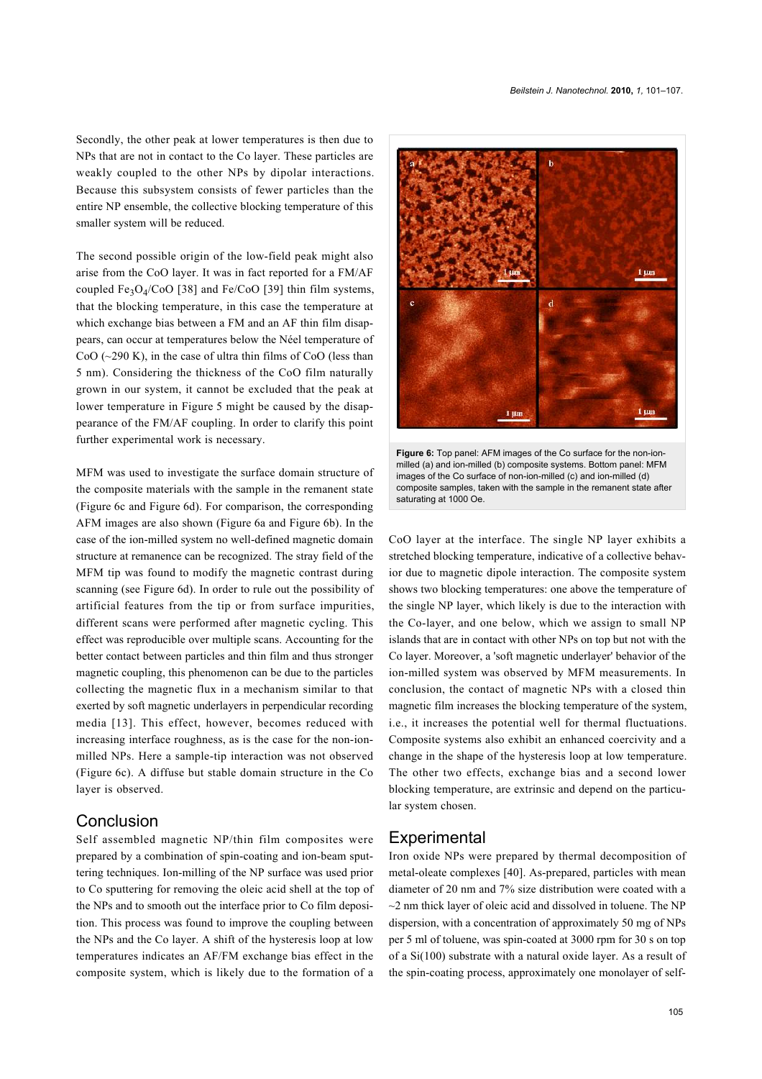Secondly, the other peak at lower temperatures is then due to NPs that are not in contact to the Co layer. These particles are weakly coupled to the other NPs by dipolar interactions. Because this subsystem consists of fewer particles than the entire NP ensemble, the collective blocking temperature of this smaller system will be reduced.

The second possible origin of the low-field peak might also arise from the CoO layer. It was in fact reported for a FM/AF coupled  $Fe<sub>3</sub>O<sub>4</sub>/CoO$  [38] and  $Fe/CoO$  [39] thin film systems, that the blocking temperature, in this case the temperature at which exchange bias between a FM and an AF thin film disappears, can occur at temperatures below the Néel temperature of  $CoO$  ( $\sim$ 290 K), in the case of ultra thin films of CoO (less than 5 nm). Considering the thickness of the CoO film naturally grown in our system, it cannot be excluded that the peak at lower temperature in Figure 5 might be caused by the disappearance of the FM/AF coupling. In order to clarify this point further experimental work is necessary.

MFM was used to investigate the surface domain structure of the composite materials with the sample in the remanent state (Figure 6c and Figure 6d). For comparison, the corresponding AFM images are also shown (Figure 6a and Figure 6b). In the case of the ion-milled system no well-defined magnetic domain structure at remanence can be recognized. The stray field of the MFM tip was found to modify the magnetic contrast during scanning (see Figure 6d). In order to rule out the possibility of artificial features from the tip or from surface impurities, different scans were performed after magnetic cycling. This effect was reproducible over multiple scans. Accounting for the better contact between particles and thin film and thus stronger magnetic coupling, this phenomenon can be due to the particles collecting the magnetic flux in a mechanism similar to that exerted by soft magnetic underlayers in perpendicular recording media [13]. This effect, however, becomes reduced with increasing interface roughness, as is the case for the non-ionmilled NPs. Here a sample-tip interaction was not observed (Figure 6c). A diffuse but stable domain structure in the Co layer is observed.

## Conclusion

Self assembled magnetic NP/thin film composites were prepared by a combination of spin-coating and ion-beam sputtering techniques. Ion-milling of the NP surface was used prior to Co sputtering for removing the oleic acid shell at the top of the NPs and to smooth out the interface prior to Co film deposition. This process was found to improve the coupling between the NPs and the Co layer. A shift of the hysteresis loop at low temperatures indicates an AF/FM exchange bias effect in the composite system, which is likely due to the formation of a



**Figure 6:** Top panel: AFM images of the Co surface for the non-ionmilled (a) and ion-milled (b) composite systems. Bottom panel: MFM images of the Co surface of non-ion-milled (c) and ion-milled (d) composite samples, taken with the sample in the remanent state after saturating at 1000 Oe.

CoO layer at the interface. The single NP layer exhibits a stretched blocking temperature, indicative of a collective behavior due to magnetic dipole interaction. The composite system shows two blocking temperatures: one above the temperature of the single NP layer, which likely is due to the interaction with the Co-layer, and one below, which we assign to small NP islands that are in contact with other NPs on top but not with the Co layer. Moreover, a 'soft magnetic underlayer' behavior of the ion-milled system was observed by MFM measurements. In conclusion, the contact of magnetic NPs with a closed thin magnetic film increases the blocking temperature of the system, i.e., it increases the potential well for thermal fluctuations. Composite systems also exhibit an enhanced coercivity and a change in the shape of the hysteresis loop at low temperature. The other two effects, exchange bias and a second lower blocking temperature, are extrinsic and depend on the particular system chosen.

## **Experimental**

Iron oxide NPs were prepared by thermal decomposition of metal-oleate complexes [40]. As-prepared, particles with mean diameter of 20 nm and 7% size distribution were coated with a  $\sim$ 2 nm thick layer of oleic acid and dissolved in toluene. The NP dispersion, with a concentration of approximately 50 mg of NPs per 5 ml of toluene, was spin-coated at 3000 rpm for 30 s on top of a Si(100) substrate with a natural oxide layer. As a result of the spin-coating process, approximately one monolayer of self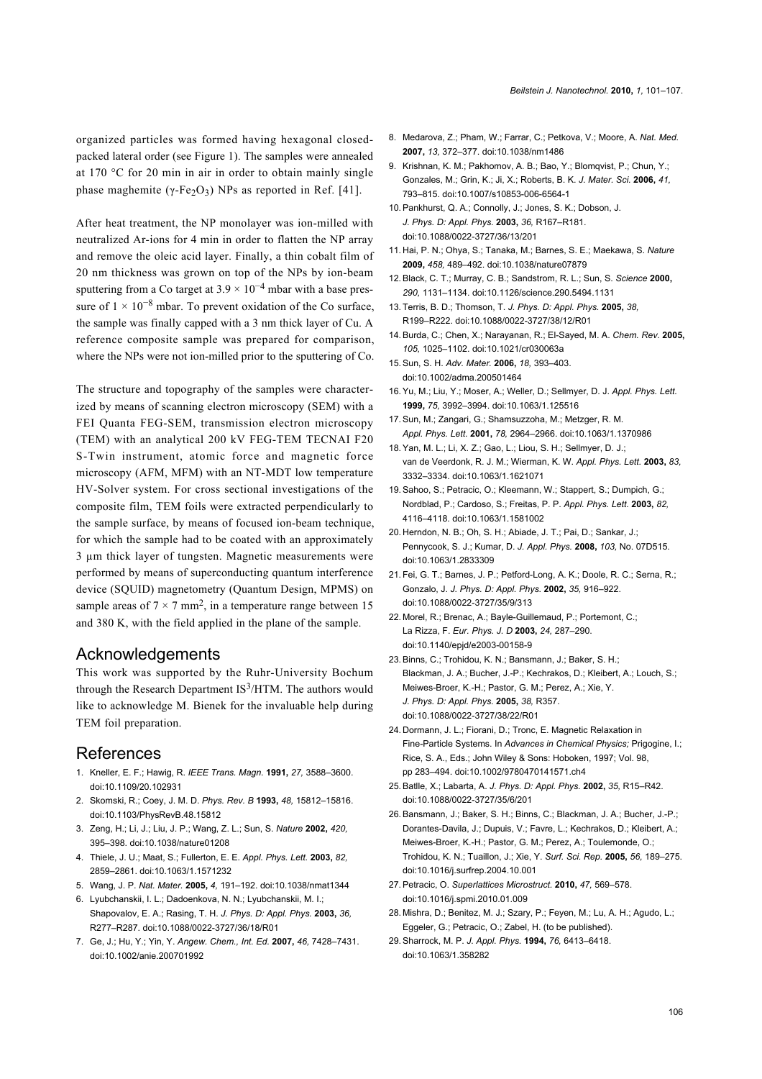After heat treatment, the NP monolayer was ion-milled with neutralized Ar-ions for 4 min in order to flatten the NP array and remove the oleic acid layer. Finally, a thin cobalt film of 20 nm thickness was grown on top of the NPs by ion-beam sputtering from a Co target at  $3.9 \times 10^{-4}$  mbar with a base pressure of  $1 \times 10^{-8}$  mbar. To prevent oxidation of the Co surface, the sample was finally capped with a 3 nm thick layer of Cu. A reference composite sample was prepared for comparison, where the NPs were not ion-milled prior to the sputtering of Co.

The structure and topography of the samples were characterized by means of scanning electron microscopy (SEM) with a FEI Quanta FEG-SEM, transmission electron microscopy (TEM) with an analytical 200 kV FEG-TEM TECNAI F20 S-Twin instrument, atomic force and magnetic force microscopy (AFM, MFM) with an NT-MDT low temperature HV-Solver system. For cross sectional investigations of the composite film, TEM foils were extracted perpendicularly to the sample surface, by means of focused ion-beam technique, for which the sample had to be coated with an approximately 3 µm thick layer of tungsten. Magnetic measurements were performed by means of superconducting quantum interference device (SQUID) magnetometry (Quantum Design, MPMS) on sample areas of  $7 \times 7$  mm<sup>2</sup>, in a temperature range between 15 and 380 K, with the field applied in the plane of the sample.

### Acknowledgements

This work was supported by the Ruhr-University Bochum through the Research Department  $IS^3/HTM$ . The authors would like to acknowledge M. Bienek for the invaluable help during TEM foil preparation.

## References

- 1. Kneller, E. F.; Hawig, R. *IEEE Trans. Magn.* **1991,** *27,* 3588–3600. doi:10.1109/20.102931
- 2. Skomski, R.; Coey, J. M. D. *Phys. Rev. B* **1993,** *48,* 15812–15816. doi:10.1103/PhysRevB.48.15812
- 3. Zeng, H.; Li, J.; Liu, J. P.; Wang, Z. L.; Sun, S. *Nature* **2002,** *420,* 395–398. doi:10.1038/nature01208
- 4. Thiele, J. U.; Maat, S.; Fullerton, E. E. *Appl. Phys. Lett.* **2003,** *82,* 2859–2861. doi:10.1063/1.1571232
- 5. Wang, J. P. *Nat. Mater.* **2005,** *4,* 191–192. doi:10.1038/nmat1344
- 6. Lyubchanskii, I. L.; Dadoenkova, N. N.; Lyubchanskii, M. I.; Shapovalov, E. A.; Rasing, T. H. *J. Phys. D: Appl. Phys.* **2003,** *36,* R277–R287. doi:10.1088/0022-3727/36/18/R01
- 7. Ge, J.; Hu, Y.; Yin, Y. *Angew. Chem., Int. Ed.* **2007,** *46,* 7428–7431. doi:10.1002/anie.200701992
- 8. Medarova, Z.; Pham, W.; Farrar, C.; Petkova, V.; Moore, A. Nat. Med. **2007,** *13,* 372–377. doi:10.1038/nm1486
- 9. Krishnan, K. M.; Pakhomov, A. B.; Bao, Y.; Blomqvist, P.; Chun, Y.; Gonzales, M.; Grin, K.; Ji, X.; Roberts, B. K. *J. Mater. Sci.* **2006,** *41,* 793–815. doi:10.1007/s10853-006-6564-1
- 10. Pankhurst, Q. A.; Connolly, J.; Jones, S. K.; Dobson, J. *J. Phys. D: Appl. Phys.* **2003,** *36,* R167–R181. doi:10.1088/0022-3727/36/13/201
- 11. Hai, P. N.; Ohya, S.; Tanaka, M.; Barnes, S. E.; Maekawa, S. *Nature* **2009,** *458,* 489–492. doi:10.1038/nature07879
- 12. Black, C. T.; Murray, C. B.; Sandstrom, R. L.; Sun, S. *Science* **2000,** *290,* 1131–1134. doi:10.1126/science.290.5494.1131
- 13. Terris, B. D.; Thomson, T. *J. Phys. D: Appl. Phys.* **2005,** *38,* R199–R222. doi:10.1088/0022-3727/38/12/R01
- 14. Burda, C.; Chen, X.; Narayanan, R.; El-Sayed, M. A. *Chem. Rev.* **2005,** *105,* 1025–1102. doi:10.1021/cr030063a
- 15. Sun, S. H. *Adv. Mater.* **2006,** *18,* 393–403. doi:10.1002/adma.200501464
- 16. Yu, M.; Liu, Y.; Moser, A.; Weller, D.; Sellmyer, D. J. *Appl. Phys. Lett.* **1999,** *75,* 3992–3994. doi:10.1063/1.125516
- 17. Sun, M.; Zangari, G.; Shamsuzzoha, M.; Metzger, R. M. *Appl. Phys. Lett.* **2001,** *78,* 2964–2966. doi:10.1063/1.1370986
- 18. Yan, M. L.; Li, X. Z.; Gao, L.; Liou, S. H.; Sellmyer, D. J.; van de Veerdonk, R. J. M.; Wierman, K. W. *Appl. Phys. Lett.* **2003,** *83,* 3332–3334. doi:10.1063/1.1621071
- 19. Sahoo, S.; Petracic, O.; Kleemann, W.; Stappert, S.; Dumpich, G.; Nordblad, P.; Cardoso, S.; Freitas, P. P. *Appl. Phys. Lett.* **2003,** *82,* 4116–4118. doi:10.1063/1.1581002
- 20. Herndon, N. B.; Oh, S. H.; Abiade, J. T.; Pai, D.; Sankar, J.; Pennycook, S. J.; Kumar, D. *J. Appl. Phys.* **2008,** *103,* No. 07D515. doi:10.1063/1.2833309
- 21. Fei, G. T.; Barnes, J. P.; Petford-Long, A. K.; Doole, R. C.; Serna, R.; Gonzalo, J. *J. Phys. D: Appl. Phys.* **2002,** *35,* 916–922. doi:10.1088/0022-3727/35/9/313
- 22. Morel, R.; Brenac, A.; Bayle-Guillemaud, P.; Portemont, C.; La Rizza, F. *Eur. Phys. J. D* **2003,** *24,* 287–290. doi:10.1140/epjd/e2003-00158-9
- 23. Binns, C.; Trohidou, K. N.; Bansmann, J.; Baker, S. H.; Blackman, J. A.; Bucher, J.-P.; Kechrakos, D.; Kleibert, A.; Louch, S.; Meiwes-Broer, K.-H.; Pastor, G. M.; Perez, A.; Xie, Y. *J. Phys. D: Appl. Phys.* **2005,** *38,* R357. doi:10.1088/0022-3727/38/22/R01
- 24. Dormann, J. L.; Fiorani, D.; Tronc, E. Magnetic Relaxation in Fine-Particle Systems. In *Advances in Chemical Physics;* Prigogine, I.; Rice, S. A., Eds.; John Wiley & Sons: Hoboken, 1997; Vol. 98, pp 283–494. doi:10.1002/9780470141571.ch4
- 25. Batlle, X.; Labarta, A. *J. Phys. D: Appl. Phys.* **2002,** *35,* R15–R42. doi:10.1088/0022-3727/35/6/201
- 26. Bansmann, J.; Baker, S. H.; Binns, C.; Blackman, J. A.; Bucher, J.-P.; Dorantes-Davila, J.; Dupuis, V.; Favre, L.; Kechrakos, D.; Kleibert, A.; Meiwes-Broer, K.-H.; Pastor, G. M.; Perez, A.; Toulemonde, O.; Trohidou, K. N.; Tuaillon, J.; Xie, Y. *Surf. Sci. Rep.* **2005,** *56,* 189–275. doi:10.1016/j.surfrep.2004.10.001
- 27. Petracic, O. *Superlattices Microstruct.* **2010,** *47,* 569–578. doi:10.1016/j.spmi.2010.01.009
- 28. Mishra, D.; Benitez, M. J.; Szary, P.; Feyen, M.; Lu, A. H.; Agudo, L.; Eggeler, G.; Petracic, O.; Zabel, H. (to be published).
- 29. Sharrock, M. P. *J. Appl. Phys.* **1994,** *76,* 6413–6418. doi:10.1063/1.358282